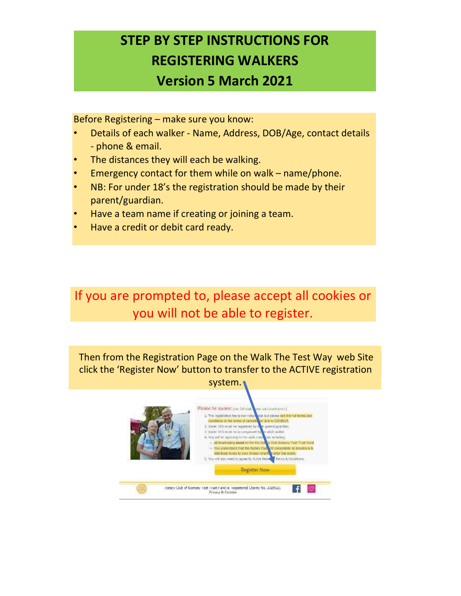## STEP BY STEP INSTRUCTIONS FOR REGISTERING WALKERS Version 5 March 2021

Before Registering – make sure you know:

- Details of each walker Name, Address, DOB/Age, contact details - phone & email.
- The distances they will each be walking.
- Emergency contact for them while on walk name/phone.
- NB: For under 18's the registration should be made by their parent/guardian.
- Have a team name if creating or joining a team.
- Have a credit or debit card ready.

If you are prompted to, please accept all cookies or you will not be able to register.

Then from the Registration Page on the Walk The Test Way web Site click the 'Register Now' button to transfer to the ACTIVE registration system.

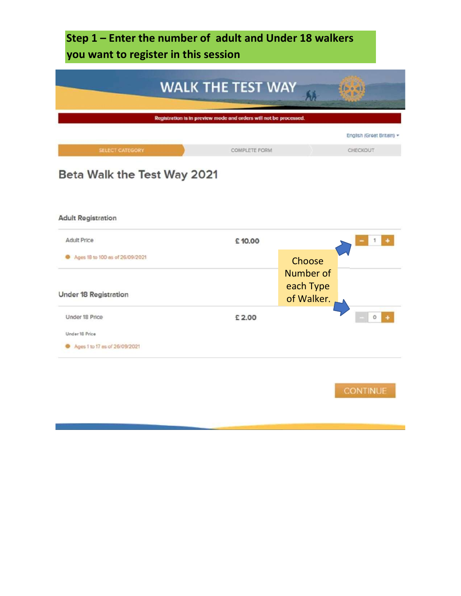Step 1 – Enter the number of adult and Under 18 walkers you want to register in this session



## Beta Walk the Test Way 2021

| <b>Adult Registration</b>       |        |                         |        |
|---------------------------------|--------|-------------------------|--------|
| <b>Adult Price</b>              | £10.00 |                         |        |
| Ages 18 to 100 as of 26/09/2021 |        | Choose                  |        |
|                                 |        | Number of               |        |
| Under 18 Registration           |        | each Type<br>of Walker. |        |
| Under 18 Price                  | £ 2.00 |                         | 0<br>٠ |
| Under 18 Price                  |        |                         |        |
| Ages 1 to 17 as of 26/09/2021   |        |                         |        |
|                                 |        |                         |        |

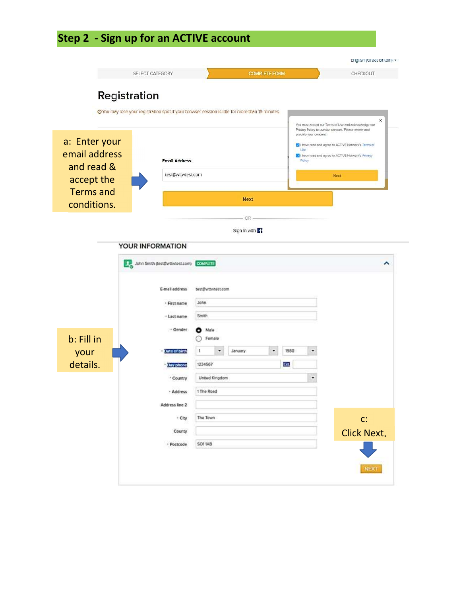## Step 2 - Sign up for an ACTIVE account

|                                              | SELECT CATEGORY                                                                                 |                                           | <b>COMPLETE FORM</b> |                                        | CHECKOUT                                                                                                                                                                                                                          |
|----------------------------------------------|-------------------------------------------------------------------------------------------------|-------------------------------------------|----------------------|----------------------------------------|-----------------------------------------------------------------------------------------------------------------------------------------------------------------------------------------------------------------------------------|
| Registration                                 |                                                                                                 |                                           |                      |                                        |                                                                                                                                                                                                                                   |
|                                              | O'You may lose your registration spot if your browser session is idle for more than 15 minutes. |                                           |                      |                                        |                                                                                                                                                                                                                                   |
| a: Enter your<br>email address<br>and read & | <b>Email Address</b>                                                                            |                                           |                      | provide your consent.<br>Use<br>Policy | ×<br>You must accept our Terms of Use and acknowledge our<br>Privacy Policy to use our services. Please review and<br>C I have read and agree to ACTIVE Network's Terms of<br>1 I have read and agree to ACTIVE Network's Privacy |
|                                              | test@wttwtest.com                                                                               |                                           |                      |                                        | Next                                                                                                                                                                                                                              |
| accept the<br><b>Terms and</b>               |                                                                                                 |                                           |                      |                                        |                                                                                                                                                                                                                                   |
| conditions.                                  |                                                                                                 |                                           | <b>Next</b>          |                                        |                                                                                                                                                                                                                                   |
|                                              |                                                                                                 |                                           |                      |                                        |                                                                                                                                                                                                                                   |
|                                              |                                                                                                 |                                           | OR-<br>Sign in with  |                                        |                                                                                                                                                                                                                                   |
|                                              |                                                                                                 |                                           |                      |                                        |                                                                                                                                                                                                                                   |
|                                              | YOUR INFORMATION                                                                                |                                           |                      |                                        |                                                                                                                                                                                                                                   |
|                                              | John Smith (test@witwtest.com) COMPLITE                                                         |                                           |                      |                                        | ^                                                                                                                                                                                                                                 |
|                                              | E-mail address<br>· First name<br>- Last name                                                   | test@wttwtest.com<br><b>John</b><br>Smith |                      |                                        |                                                                                                                                                                                                                                   |
|                                              | + Gender                                                                                        | Male<br>О<br>Female                       |                      |                                        |                                                                                                                                                                                                                                   |
|                                              | ate of birth                                                                                    | 1<br>٠                                    | January<br>۳         | 1980<br>۰                              |                                                                                                                                                                                                                                   |
| your                                         | Jay phone                                                                                       | 1234567                                   |                      | Ext.                                   |                                                                                                                                                                                                                                   |
|                                              | * Country                                                                                       | United Kingdom                            |                      | ٠                                      |                                                                                                                                                                                                                                   |
| details.                                     | - Address                                                                                       | 1 The Road                                |                      |                                        |                                                                                                                                                                                                                                   |
|                                              | Address line 2                                                                                  |                                           |                      |                                        |                                                                                                                                                                                                                                   |
|                                              | · City                                                                                          | The Town                                  |                      |                                        |                                                                                                                                                                                                                                   |
| b: Fill in                                   | County                                                                                          |                                           |                      |                                        | C:                                                                                                                                                                                                                                |
|                                              | - Postcode                                                                                      | SO11AB                                    |                      |                                        | <b>Click Next.</b>                                                                                                                                                                                                                |
|                                              |                                                                                                 |                                           |                      |                                        |                                                                                                                                                                                                                                   |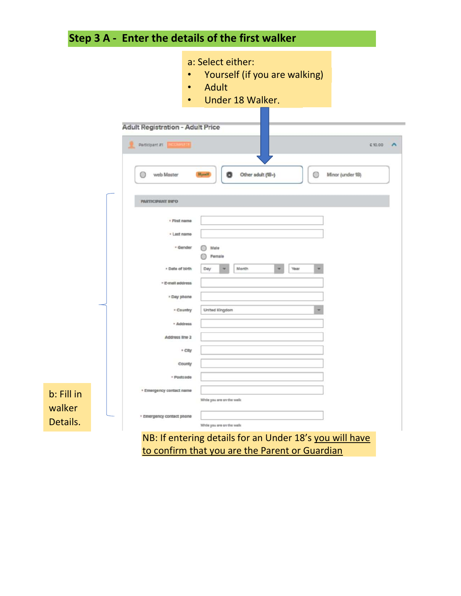

to confirm that you are the Parent or Guardian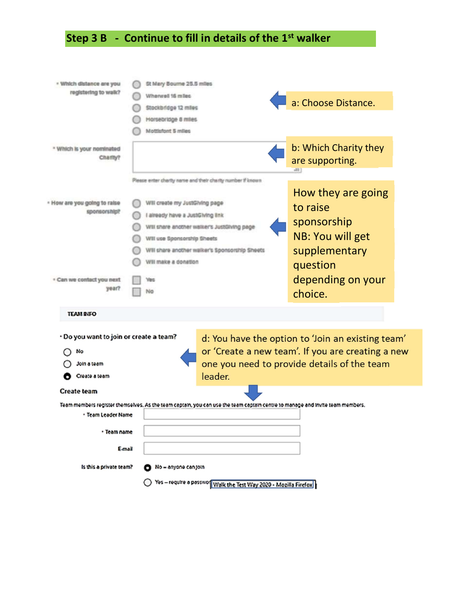## Step 3 B - Continue to fill in details of the  $1<sup>st</sup>$  walker

| · Which distance are you                                                      | St Mary Bourne 25.5 miles                                                                                                                                                                                                          |                                                                                                                                                       |
|-------------------------------------------------------------------------------|------------------------------------------------------------------------------------------------------------------------------------------------------------------------------------------------------------------------------------|-------------------------------------------------------------------------------------------------------------------------------------------------------|
| registering to walk?                                                          | Wherwell 16 miles                                                                                                                                                                                                                  |                                                                                                                                                       |
|                                                                               | Stockbridge 12 miles                                                                                                                                                                                                               | a: Choose Distance.                                                                                                                                   |
|                                                                               | Horsebridge 8 miles                                                                                                                                                                                                                |                                                                                                                                                       |
|                                                                               | Mottisfont 5 miles                                                                                                                                                                                                                 |                                                                                                                                                       |
| * Which is your nominated<br>Charity?                                         |                                                                                                                                                                                                                                    | b: Which Charity they<br>are supporting.                                                                                                              |
|                                                                               | Please enter charity name and their charity number if known.                                                                                                                                                                       |                                                                                                                                                       |
| - How are you going to raise<br>sponsorship?<br>. Can we contact you next     | Will create my JustGlving page<br>I already have a JustGiving link<br>Will shere another walker's JustGlving page<br>Will use Sponsorship Sheets<br>Will share another walker's Sponsorship Sheets<br>Will make a donation<br>riga | How they are going<br>to raise<br>sponsorship<br>NB: You will get<br>supplementary<br>question<br>depending on your                                   |
| year?                                                                         | Na                                                                                                                                                                                                                                 | choice.                                                                                                                                               |
| <b>TEAM RIFO</b>                                                              |                                                                                                                                                                                                                                    |                                                                                                                                                       |
| · Do you want to join or create a team?<br>No<br>Join a team<br>Create a team | leader.                                                                                                                                                                                                                            | d: You have the option to 'Join an existing team'<br>or 'Create a new team'. If you are creating a new<br>one you need to provide details of the team |
| <b>Create team</b>                                                            |                                                                                                                                                                                                                                    |                                                                                                                                                       |
|                                                                               | Team members register themselves. As the team captain, you can use the team captain centre to manage and invite team members.                                                                                                      |                                                                                                                                                       |
| · Team Leader Name                                                            |                                                                                                                                                                                                                                    |                                                                                                                                                       |
| · Team name                                                                   |                                                                                                                                                                                                                                    |                                                                                                                                                       |
| E-mail                                                                        |                                                                                                                                                                                                                                    |                                                                                                                                                       |
| Is this a private team?                                                       | No = anyone can join                                                                                                                                                                                                               |                                                                                                                                                       |
|                                                                               |                                                                                                                                                                                                                                    |                                                                                                                                                       |
|                                                                               | Yes - require a passwo Walk the Test Way 2020 - Mozilla Firefox                                                                                                                                                                    |                                                                                                                                                       |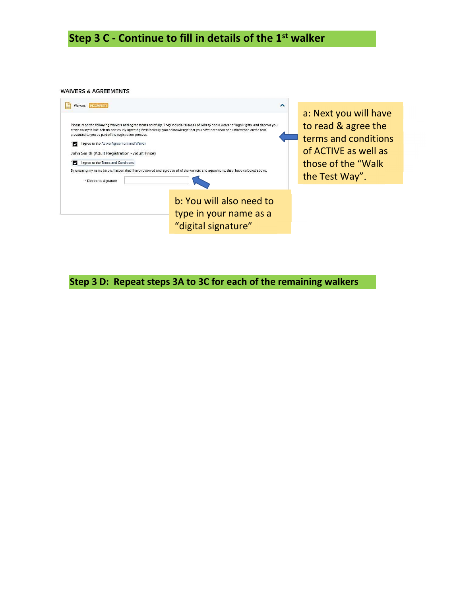Step 3 C - Continue to fill in details of the 1<sup>st</sup> walker

**WAIVERS & AGREEMENTS** 

| Walvers <b>INCOMPLETE</b><br>presented to you as part of the registration process.<br>I agree to the Active Agreement and Waiver<br>м<br>John Smith (Adult Registration - Adult Price)<br>I agree to the Terms and Conditions<br>· Electronic signature | ∧<br>Please read the following waivers and agreements carefully. They include releases of liability and a waiver of legal rights, and deprive you<br>of the ability to sue certain parties. By agreeing electronically, you acknowledge that you have both read and understood all the text<br>By entering my name below, I assert that I have reviewed and agree to all of the waivers and agreements that I have selected above. | a: Next you will have<br>to read & agree the<br>terms and conditions<br>of ACTIVE as well as<br>those of the "Walk"<br>the Test Way". |
|---------------------------------------------------------------------------------------------------------------------------------------------------------------------------------------------------------------------------------------------------------|------------------------------------------------------------------------------------------------------------------------------------------------------------------------------------------------------------------------------------------------------------------------------------------------------------------------------------------------------------------------------------------------------------------------------------|---------------------------------------------------------------------------------------------------------------------------------------|
|                                                                                                                                                                                                                                                         | b: You will also need to<br>type in your name as a<br>"digital signature"                                                                                                                                                                                                                                                                                                                                                          |                                                                                                                                       |

Step 3 D: Repeat steps 3A to 3C for each of the remaining walkers